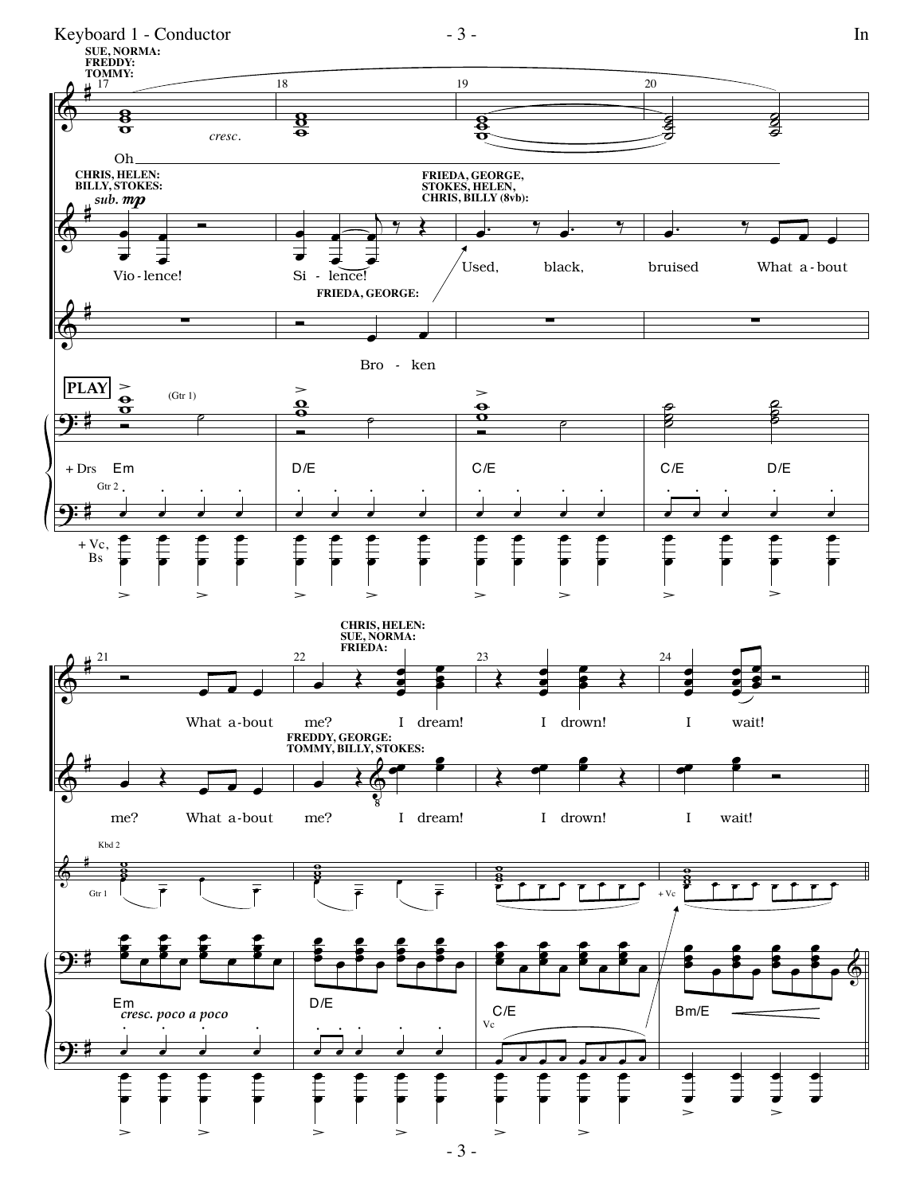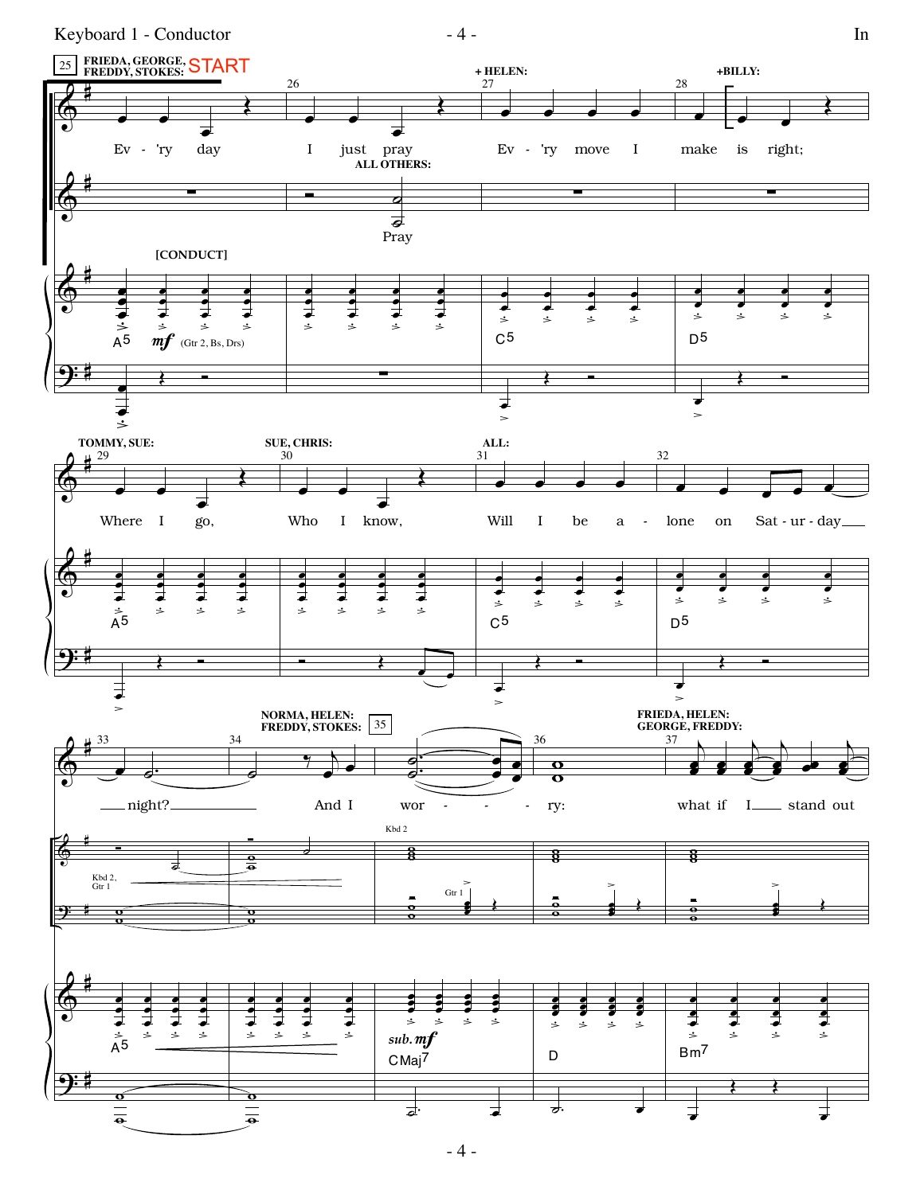Keyboard 1 - Conductor  $-4$  -



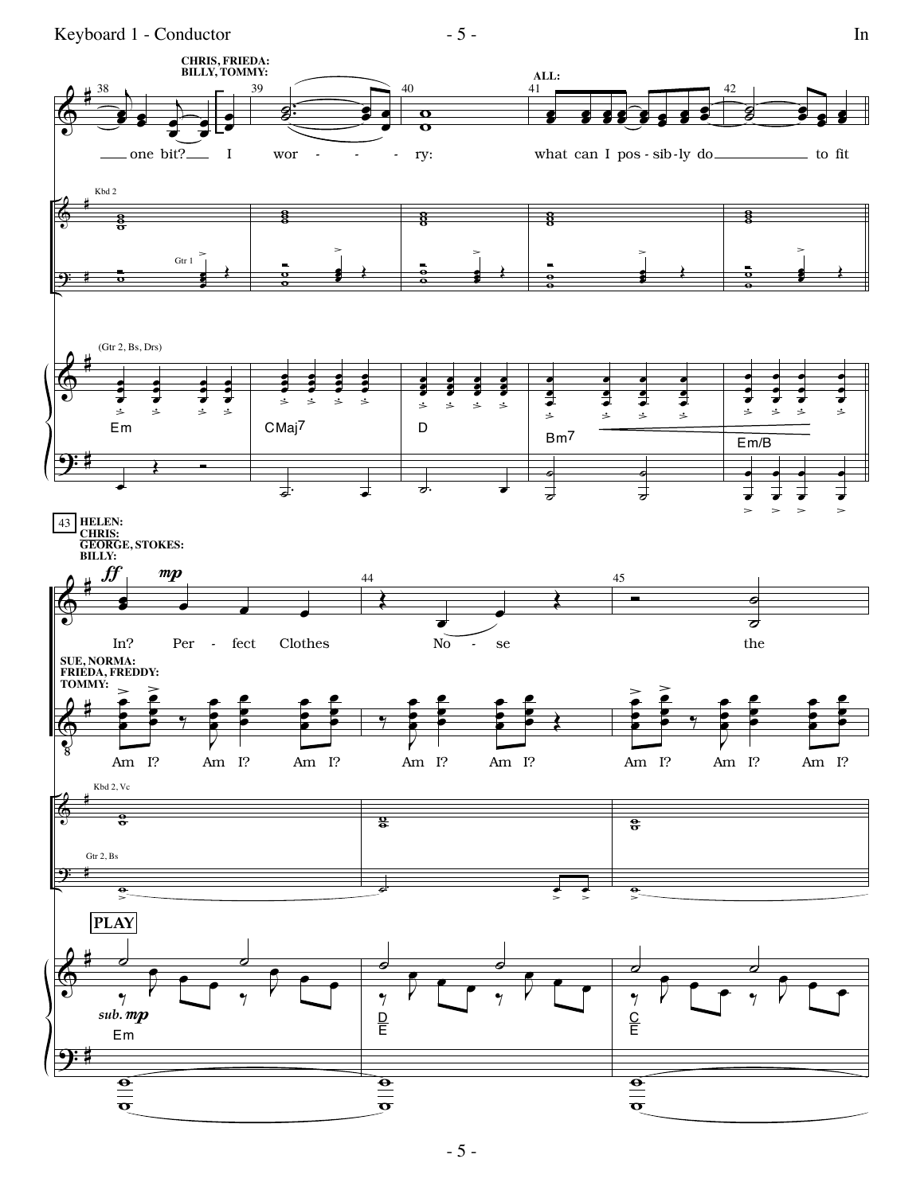Keyboard 1 - Conductor

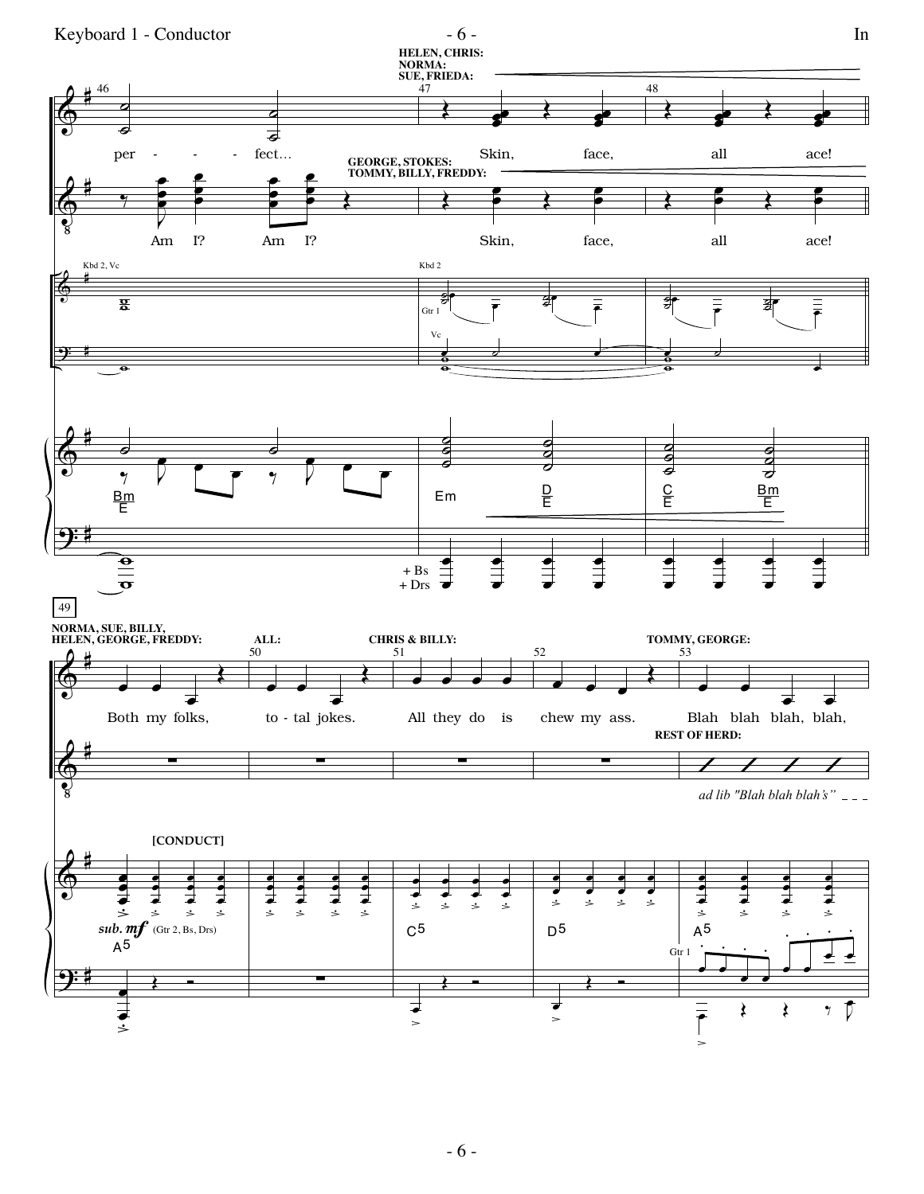